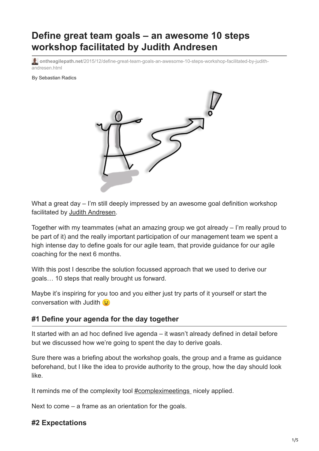# **Define great team goals – an awesome 10 steps workshop facilitated by Judith Andresen**

**ontheagilepath.net**[/2015/12/define-great-team-goals-an-awesome-10-steps-workshop-facilitated-by-judith](https://www.ontheagilepath.net/2015/12/define-great-team-goals-an-awesome-10-steps-workshop-facilitated-by-judith-andresen.html)andresen.html

By Sebastian Radics



What a great day – I'm still deeply impressed by an awesome goal definition workshop facilitated by [Judith Andresen.](http://www.judithandresen.com/)

Together with my teammates (what an amazing group we got already – I'm really proud to be part of it) and the really important participation of our management team we spent a high intense day to define goals for our agile team, that provide guidance for our agile coaching for the next 6 months.

With this post I describe the solution focussed approach that we used to derive our goals… 10 steps that really brought us forward.

Maybe it's inspiring for you too and you either just try parts of it yourself or start the conversation with Judith  $\odot$ 

#### **#1 Define your agenda for the day together**

It started with an ad hoc defined live agenda – it wasn't already defined in detail before but we discussed how we're going to spent the day to derive goals.

Sure there was a briefing about the workshop goals, the group and a frame as guidance beforehand, but I like the idea to provide authority to the group, how the day should look like.

It reminds me of the complexity tool **#compleximeetings** nicely applied.

Next to come – a frame as an orientation for the goals.

#### **#2 Expectations**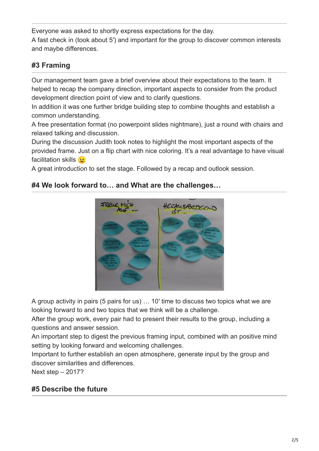Everyone was asked to shortly express expectations for the day. A fast check in (took about 5′) and important for the group to discover common interests and maybe differences.

# **#3 Framing**

Our management team gave a brief overview about their expectations to the team. It helped to recap the company direction, important aspects to consider from the product development direction point of view and to clarify questions.

In addition it was one further bridge building step to combine thoughts and establish a common understanding.

A free presentation format (no powerpoint slides nightmare), just a round with chairs and relaxed talking and discussion.

During the discussion Judith took notes to highlight the most important aspects of the provided frame. Just on a flip chart with nice coloring. It's a real advantage to have visual facilitation skills **b** 

A great introduction to set the stage. Followed by a recap and outlook session.

## **#4 We look forward to… and What are the challenges…**



A group activity in pairs (5 pairs for us) … 10′ time to discuss two topics what we are looking forward to and two topics that we think will be a challenge.

After the group work, every pair had to present their results to the group, including a questions and answer session.

An important step to digest the previous framing input, combined with an positive mind setting by looking forward and welcoming challenges.

Important to further establish an open atmosphere, generate input by the group and discover similarities and differences.

Next step – 2017?

# **#5 Describe the future**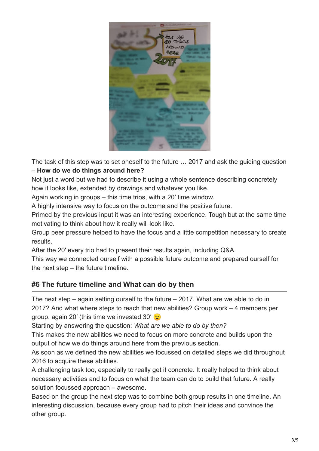

The task of this step was to set oneself to the future … 2017 and ask the guiding question – **How do we do things around here?** 

Not just a word but we had to describe it using a whole sentence describing concretely how it looks like, extended by drawings and whatever you like.

Again working in groups – this time trios, with a 20′ time window.

A highly intensive way to focus on the outcome and the positive future.

Primed by the previous input it was an interesting experience. Tough but at the same time motivating to think about how it really will look like.

Group peer pressure helped to have the focus and a little competition necessary to create results.

After the 20′ every trio had to present their results again, including Q&A.

This way we connected ourself with a possible future outcome and prepared ourself for the next step – the future timeline.

# **#6 The future timeline and What can do by then**

The next step – again setting ourself to the future – 2017. What are we able to do in 2017? And what where steps to reach that new abilities? Group work – 4 members per group, again 20′ (this time we invested 30′

Starting by answering the question: *What are we able to do by then?*

This makes the new abilities we need to focus on more concrete and builds upon the output of how we do things around here from the previous section.

As soon as we defined the new abilities we focussed on detailed steps we did throughout 2016 to acquire these abilities.

A challenging task too, especially to really get it concrete. It really helped to think about necessary activities and to focus on what the team can do to build that future. A really solution focussed approach – awesome.

Based on the group the next step was to combine both group results in one timeline. An interesting discussion, because every group had to pitch their ideas and convince the other group.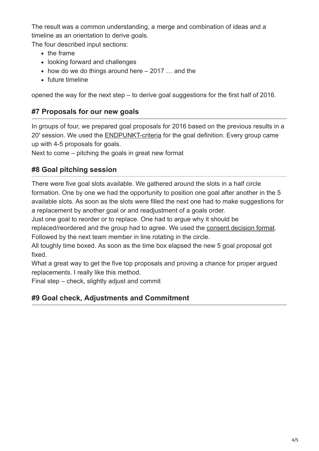The result was a common understanding, a merge and combination of ideas and a timeline as an orientation to derive goals.

The four described input sections:

- $\bullet$  the frame
- looking forward and challenges
- $\bullet$  how do we do things around here  $-2017...$  and the
- future timeline

opened the way for the next step – to derive goal suggestions for the first half of 2016.

## **#7 Proposals for our new goals**

In groups of four, we prepared goal proposals for 2016 based on the previous results in a 20′ session. We used the [ENDPUNKT-criteria](http://www.ontheagilepath.net/?p=16) for the goal definition. Every group came up with 4-5 proposals for goals.

Next to come – pitching the goals in great new format

## **#8 Goal pitching session**

There were five goal slots available. We gathered around the slots in a half circle formation. One by one we had the opportunity to position one goal after another in the 5 available slots. As soon as the slots were filled the next one had to make suggestions for a replacement by another goal or and readjustment of a goals order.

Just one goal to reorder or to replace. One had to argue why it should be

replaced/reordered and the group had to agree. We used the [consent decision format](http://www.ontheagilepath.net/?p=47). Followed by the next team member in line rotating in the circle.

All toughly time boxed. As soon as the time box elapsed the new 5 goal proposal got fixed.

What a great way to get the five top proposals and proving a chance for proper argued replacements. I really like this method.

Final step – check, slightly adjust and commit

# **#9 Goal check, Adjustments and Commitment**